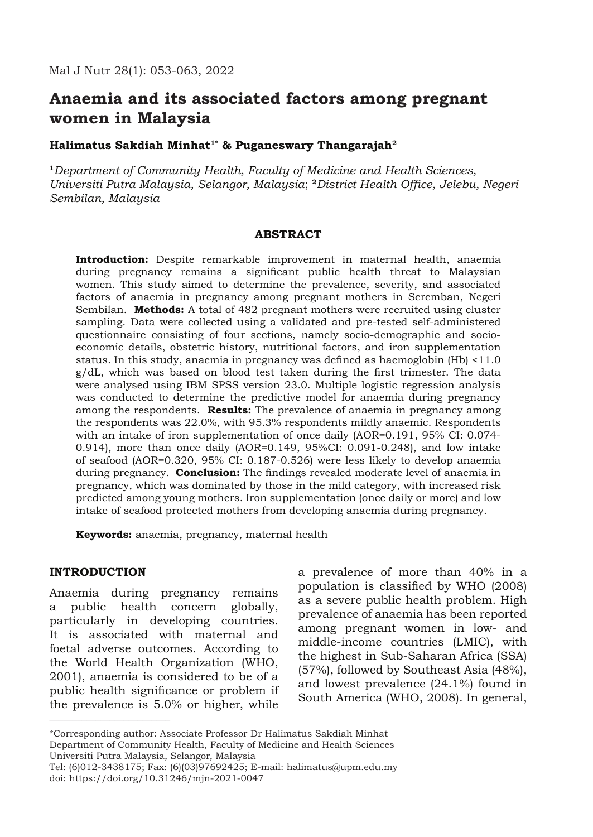# **Anaemia and its associated factors among pregnant women in Malaysia**

# Halimatus Sakdiah Minhat<sup>1\*</sup> & Puganeswary Thangarajah<sup>2</sup>

**<sup>1</sup>***Department of Community Health, Faculty of Medicine and Health Sciences, Universiti Putra Malaysia, Selangor, Malaysia*; **<sup>2</sup>***District Health Office, Jelebu, Negeri Sembilan, Malaysia*

## **ABSTRACT**

**Introduction:** Despite remarkable improvement in maternal health, anaemia during pregnancy remains a significant public health threat to Malaysian women. This study aimed to determine the prevalence, severity, and associated factors of anaemia in pregnancy among pregnant mothers in Seremban, Negeri Sembilan. **Methods:** A total of 482 pregnant mothers were recruited using cluster sampling. Data were collected using a validated and pre-tested self-administered questionnaire consisting of four sections, namely socio-demographic and socioeconomic details, obstetric history, nutritional factors, and iron supplementation status. In this study, anaemia in pregnancy was defined as haemoglobin (Hb) <11.0 g/dL, which was based on blood test taken during the first trimester. The data were analysed using IBM SPSS version 23.0. Multiple logistic regression analysis was conducted to determine the predictive model for anaemia during pregnancy among the respondents. **Results:** The prevalence of anaemia in pregnancy among the respondents was 22.0%, with 95.3% respondents mildly anaemic. Respondents with an intake of iron supplementation of once daily (AOR=0.191, 95% CI: 0.074-0.914), more than once daily (AOR=0.149, 95%CI: 0.091-0.248), and low intake of seafood (AOR=0.320, 95% CI: 0.187-0.526) were less likely to develop anaemia during pregnancy. **Conclusion:** The findings revealed moderate level of anaemia in pregnancy, which was dominated by those in the mild category, with increased risk predicted among young mothers. Iron supplementation (once daily or more) and low intake of seafood protected mothers from developing anaemia during pregnancy.

**Keywords:** anaemia, pregnancy, maternal health

# **INTRODUCTION**

\_\_\_\_\_\_\_\_\_\_\_\_\_\_\_\_\_\_\_\_\_\_\_\_\_\_

Anaemia during pregnancy remains a public health concern globally, particularly in developing countries. It is associated with maternal and foetal adverse outcomes. According to the World Health Organization (WHO, 2001), anaemia is considered to be of a public health significance or problem if the prevalence is 5.0% or higher, while

a prevalence of more than 40% in a population is classified by WHO (2008) as a severe public health problem. High prevalence of anaemia has been reported among pregnant women in low- and middle-income countries (LMIC), with the highest in Sub-Saharan Africa (SSA) (57%), followed by Southeast Asia (48%), and lowest prevalence (24.1%) found in South America (WHO, 2008). In general,

<sup>\*</sup>Corresponding author: Associate Professor Dr Halimatus Sakdiah Minhat Department of Community Health, Faculty of Medicine and Health Sciences Universiti Putra Malaysia, Selangor, Malaysia

Tel: (6)012-3438175; Fax: (6)(03)97692425; E-mail: halimatus@upm.edu.my doi: https://doi.org/10.31246/mjn-2021-0047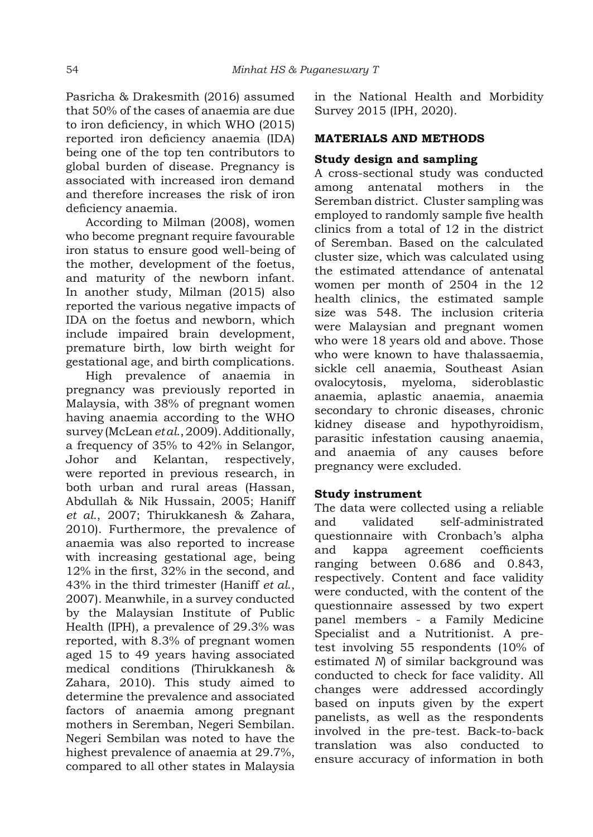Pasricha & Drakesmith (2016) assumed that 50% of the cases of anaemia are due to iron deficiency, in which WHO (2015) reported iron deficiency anaemia (IDA) being one of the top ten contributors to global burden of disease. Pregnancy is associated with increased iron demand and therefore increases the risk of iron deficiency anaemia.

According to Milman (2008), women who become pregnant require favourable iron status to ensure good well-being of the mother, development of the foetus, and maturity of the newborn infant. In another study, Milman (2015) also reported the various negative impacts of IDA on the foetus and newborn, which include impaired brain development, premature birth, low birth weight for gestational age, and birth complications.

High prevalence of anaemia in pregnancy was previously reported in Malaysia, with 38% of pregnant women having anaemia according to the WHO survey (McLean *et al*., 2009). Additionally, a frequency of 35% to 42% in Selangor, Johor and Kelantan, respectively, were reported in previous research, in both urban and rural areas (Hassan, Abdullah & Nik Hussain, 2005; Haniff *et al*., 2007; Thirukkanesh & Zahara, 2010). Furthermore, the prevalence of anaemia was also reported to increase with increasing gestational age, being 12% in the first, 32% in the second, and 43% in the third trimester (Haniff *et al*., 2007). Meanwhile, in a survey conducted by the Malaysian Institute of Public Health (IPH), a prevalence of 29.3% was reported, with 8.3% of pregnant women aged 15 to 49 years having associated medical conditions (Thirukkanesh & Zahara, 2010). This study aimed to determine the prevalence and associated factors of anaemia among pregnant mothers in Seremban, Negeri Sembilan. Negeri Sembilan was noted to have the highest prevalence of anaemia at 29.7%, compared to all other states in Malaysia in the National Health and Morbidity Survey 2015 (IPH, 2020).

# **MATERIALS AND METHODS**

# **Study design and sampling**

A cross-sectional study was conducted among antenatal mothers in the Seremban district. Cluster sampling was employed to randomly sample five health clinics from a total of 12 in the district of Seremban. Based on the calculated cluster size, which was calculated using the estimated attendance of antenatal women per month of 2504 in the 12 health clinics, the estimated sample size was 548. The inclusion criteria were Malaysian and pregnant women who were 18 years old and above. Those who were known to have thalassaemia, sickle cell anaemia, Southeast Asian ovalocytosis, myeloma, sideroblastic anaemia, aplastic anaemia, anaemia secondary to chronic diseases, chronic kidney disease and hypothyroidism, parasitic infestation causing anaemia, and anaemia of any causes before pregnancy were excluded.

# **Study instrument**

The data were collected using a reliable and validated self-administrated questionnaire with Cronbach's alpha and kappa agreement coefficients ranging between 0.686 and 0.843, respectively. Content and face validity were conducted, with the content of the questionnaire assessed by two expert panel members - a Family Medicine Specialist and a Nutritionist. A pretest involving 55 respondents (10% of estimated *N*) of similar background was conducted to check for face validity. All changes were addressed accordingly based on inputs given by the expert panelists, as well as the respondents involved in the pre-test. Back-to-back translation was also conducted to ensure accuracy of information in both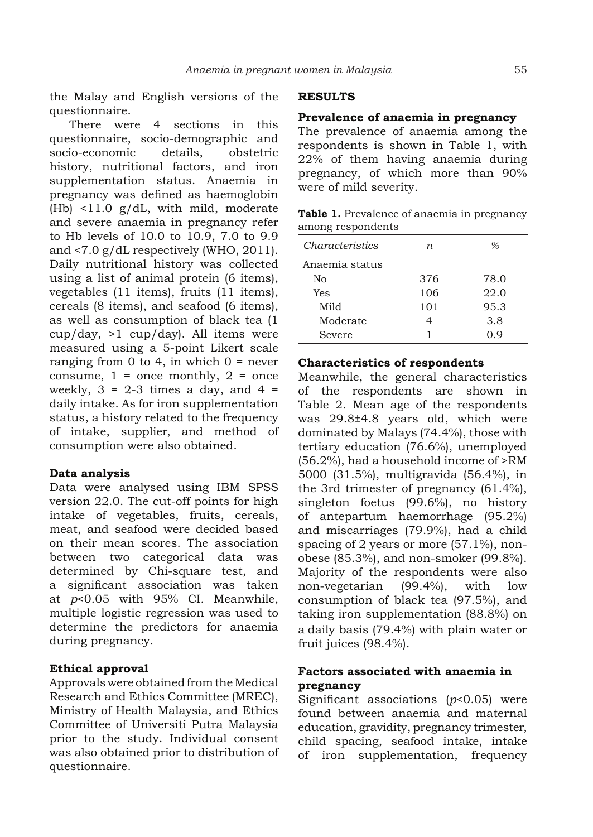the Malay and English versions of the questionnaire.

There were 4 sections in this questionnaire, socio-demographic and socio-economic details, obstetric history, nutritional factors, and iron supplementation status. Anaemia in pregnancy was defined as haemoglobin (Hb) <11.0 g/dL, with mild, moderate and severe anaemia in pregnancy refer to Hb levels of 10.0 to 10.9, 7.0 to 9.9 and <7.0 g/dL respectively (WHO, 2011). Daily nutritional history was collected using a list of animal protein (6 items), vegetables (11 items), fruits (11 items), cereals (8 items), and seafood (6 items), as well as consumption of black tea (1 cup/day, >1 cup/day). All items were measured using a 5-point Likert scale ranging from 0 to 4, in which  $0 =$  never consume,  $1 =$  once monthly,  $2 =$  once weekly,  $3 = 2-3$  times a day, and  $4 =$ daily intake. As for iron supplementation status, a history related to the frequency of intake, supplier, and method of consumption were also obtained.

# **Data analysis**

Data were analysed using IBM SPSS version 22.0. The cut-off points for high intake of vegetables, fruits, cereals, meat, and seafood were decided based on their mean scores. The association between two categorical data was determined by Chi-square test, and a significant association was taken at *p*<0.05 with 95% CI. Meanwhile, multiple logistic regression was used to determine the predictors for anaemia during pregnancy.

# **Ethical approval**

Approvals were obtained from the Medical Research and Ethics Committee (MREC), Ministry of Health Malaysia, and Ethics Committee of Universiti Putra Malaysia prior to the study. Individual consent was also obtained prior to distribution of questionnaire.

## **RESULTS**

#### **Prevalence of anaemia in pregnancy**

The prevalence of anaemia among the respondents is shown in Table 1, with 22% of them having anaemia during pregnancy, of which more than 90% were of mild severity.

| Table 1. Prevalence of anaemia in pregnancy |
|---------------------------------------------|
| among respondents                           |

| <i>Characteristics</i> | n.  | %    |
|------------------------|-----|------|
| Anaemia status         |     |      |
| No                     | 376 | 78.0 |
| Yes                    | 106 | 22.0 |
| Mild                   | 101 | 95.3 |
| Moderate               | 4   | 3.8  |
| Severe                 |     | ი ი  |

#### **Characteristics of respondents**

Meanwhile, the general characteristics of the respondents are shown in Table 2. Mean age of the respondents was 29.8±4.8 years old, which were dominated by Malays (74.4%), those with tertiary education (76.6%), unemployed (56.2%), had a household income of >RM 5000 (31.5%), multigravida (56.4%), in the 3rd trimester of pregnancy (61.4%), singleton foetus (99.6%), no history of antepartum haemorrhage (95.2%) and miscarriages (79.9%), had a child spacing of 2 years or more (57.1%), nonobese (85.3%), and non-smoker (99.8%). Majority of the respondents were also non-vegetarian (99.4%), with low consumption of black tea (97.5%), and taking iron supplementation (88.8%) on a daily basis (79.4%) with plain water or fruit juices (98.4%).

# **Factors associated with anaemia in pregnancy**

Significant associations (*p*<0.05) were found between anaemia and maternal education, gravidity, pregnancy trimester, child spacing, seafood intake, intake of iron supplementation, frequency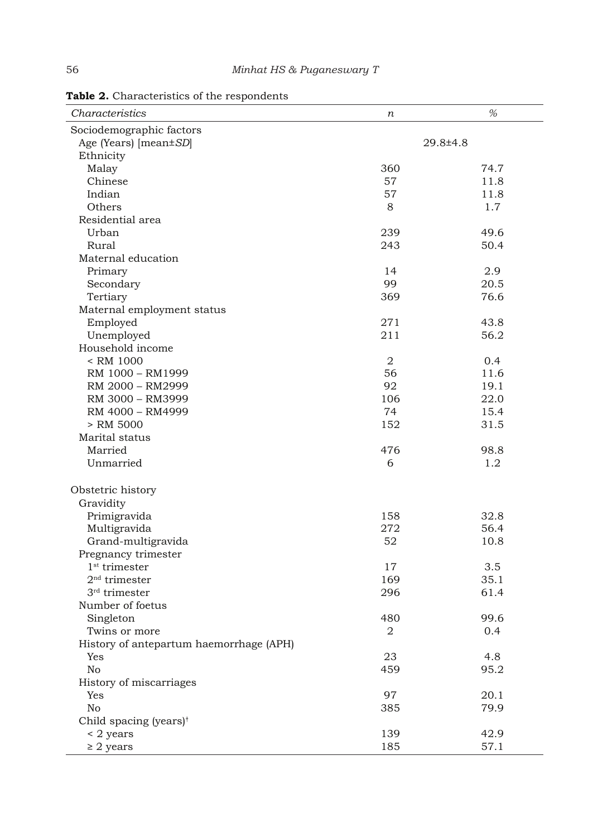| Characteristics                         | n   | $% \mathcal{A}_{\mathrm{d}}$ |
|-----------------------------------------|-----|------------------------------|
| Sociodemographic factors                |     |                              |
| Age (Years) [mean±SD]                   |     | 29.8±4.8                     |
| Ethnicity                               |     |                              |
| Malay                                   | 360 | 74.7                         |
| Chinese                                 | 57  | 11.8                         |
| Indian                                  | 57  | 11.8                         |
| Others                                  | 8   | 1.7                          |
| Residential area                        |     |                              |
| Urban                                   | 239 | 49.6                         |
| Rural                                   | 243 | 50.4                         |
| Maternal education                      |     |                              |
| Primary                                 | 14  | 2.9                          |
| Secondary                               | 99  | 20.5                         |
| Tertiary                                | 369 | 76.6                         |
| Maternal employment status              |     |                              |
| Employed                                | 271 | 43.8                         |
| Unemployed                              | 211 | 56.2                         |
| Household income                        |     |                              |
| < RM 1000                               | 2   | 0.4                          |
| RM 1000 - RM1999                        | 56  | 11.6                         |
| RM 2000 - RM2999                        | 92  | 19.1                         |
| RM 3000 - RM3999                        | 106 | 22.0                         |
|                                         | 74  |                              |
| RM 4000 - RM4999                        |     | 15.4                         |
| > RM 5000                               | 152 | 31.5                         |
| Marital status                          |     |                              |
| Married                                 | 476 | 98.8                         |
| Unmarried                               | 6   | 1.2                          |
| Obstetric history                       |     |                              |
| Gravidity                               |     |                              |
| Primigravida                            | 158 | 32.8                         |
| Multigravida                            | 272 | 56.4                         |
| Grand-multigravida                      | 52  | 10.8                         |
| Pregnancy trimester                     |     |                              |
| $1st$ trimester                         | 17  | 3.5                          |
| $2nd$ trimester                         | 169 | 35.1                         |
| $3rd$ trimester                         | 296 | 61.4                         |
| Number of foetus                        |     |                              |
| Singleton                               | 480 | 99.6                         |
| Twins or more                           | 2   | 0.4                          |
| History of antepartum haemorrhage (APH) |     |                              |
| Yes                                     | 23  | 4.8                          |
| No                                      | 459 | 95.2                         |
|                                         |     |                              |
| History of miscarriages                 |     |                              |
| Yes                                     | 97  | 20.1                         |
| No                                      | 385 | 79.9                         |
| Child spacing (years) <sup>†</sup>      |     |                              |
| < 2 years                               | 139 | 42.9                         |
| $\geq$ 2 years                          | 185 | 57.1                         |

**Table 2.** Characteristics of the respondents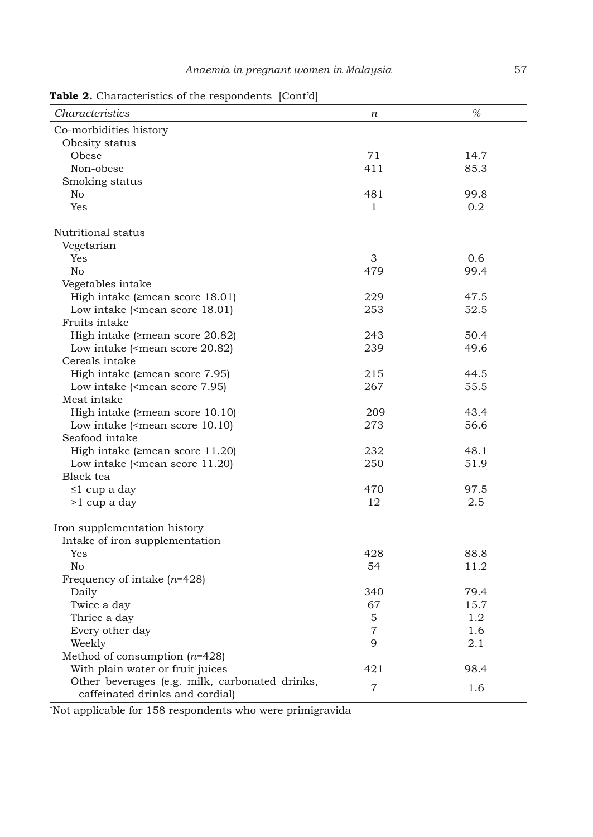Table 2. Characteristics of the respondents [Cont'd]

| Characteristics                                                               | $\boldsymbol{n}$ | %    |
|-------------------------------------------------------------------------------|------------------|------|
| Co-morbidities history                                                        |                  |      |
| Obesity status                                                                |                  |      |
| Obese                                                                         | 71               | 14.7 |
| Non-obese                                                                     | 411              | 85.3 |
| Smoking status                                                                |                  |      |
| No                                                                            | 481              | 99.8 |
| Yes                                                                           | 1                | 0.2  |
|                                                                               |                  |      |
| Nutritional status                                                            |                  |      |
| Vegetarian                                                                    |                  |      |
| Yes                                                                           | 3                | 0.6  |
| No                                                                            | 479              | 99.4 |
| Vegetables intake                                                             |                  |      |
| High intake ( $\geq$ mean score 18.01)                                        | 229              | 47.5 |
| Low intake ( <mean 18.01)<="" score="" td=""><td>253</td><td>52.5</td></mean> | 253              | 52.5 |
| Fruits intake                                                                 |                  |      |
| High intake ( $\geq$ mean score 20.82)                                        | 243              | 50.4 |
| Low intake ( <mean 20.82)<="" score="" td=""><td>239</td><td>49.6</td></mean> | 239              | 49.6 |
| Cereals intake                                                                |                  |      |
| High intake ( $\geq$ mean score 7.95)                                         | 215              | 44.5 |
| Low intake ( <mean 7.95)<="" score="" td=""><td>267</td><td>55.5</td></mean>  | 267              | 55.5 |
| Meat intake                                                                   |                  |      |
| High intake ( $\geq$ mean score 10.10)                                        | 209              | 43.4 |
| Low intake ( <mean 10.10)<="" score="" td=""><td>273</td><td>56.6</td></mean> | 273              | 56.6 |
| Seafood intake                                                                |                  |      |
| High intake ( $\geq$ mean score 11.20)                                        | 232              | 48.1 |
| Low intake ( <mean 11.20)<="" score="" td=""><td>250</td><td>51.9</td></mean> | 250              | 51.9 |
| Black tea                                                                     |                  |      |
| ≤1 cup a day                                                                  | 470              | 97.5 |
| >1 cup a day                                                                  | 12               | 2.5  |
|                                                                               |                  |      |
| Iron supplementation history                                                  |                  |      |
| Intake of iron supplementation                                                |                  |      |
| Yes                                                                           | 428              | 88.8 |
| No                                                                            | 54               | 11.2 |
| Frequency of intake $(n=428)$                                                 |                  |      |
| Daily                                                                         | 340              | 79.4 |
| Twice a day                                                                   | 67               | 15.7 |
| Thrice a day                                                                  | 5                | 1.2  |
| Every other day                                                               | 7                | 1.6  |
| Weekly                                                                        | 9                | 2.1  |
| Method of consumption $(n=428)$                                               |                  |      |
| With plain water or fruit juices                                              | 421              | 98.4 |
| Other beverages (e.g. milk, carbonated drinks,                                |                  |      |
| caffeinated drinks and cordial)                                               | $\overline{7}$   | 1.6  |

† Not applicable for 158 respondents who were primigravida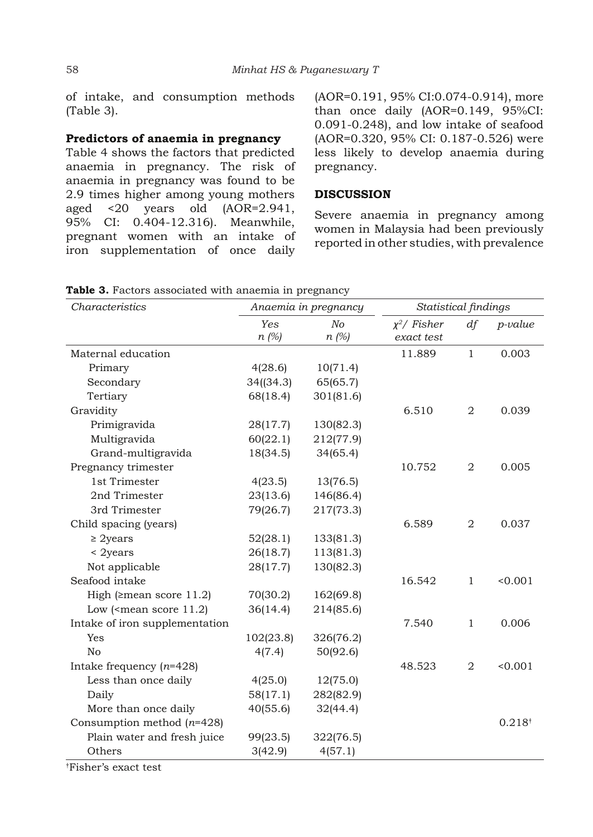of intake, and consumption methods (Table 3).

# **Predictors of anaemia in pregnancy**

Table 4 shows the factors that predicted anaemia in pregnancy. The risk of anaemia in pregnancy was found to be 2.9 times higher among young mothers aged <20 years old (AOR=2.941, 95% CI: 0.404-12.316). Meanwhile, pregnant women with an intake of iron supplementation of once daily

(AOR=0.191, 95% CI:0.074-0.914), more than once daily (AOR=0.149, 95%CI: 0.091-0.248), and low intake of seafood (AOR=0.320, 95% CI: 0.187-0.526) were less likely to develop anaemia during pregnancy.

## **DISCUSSION**

Severe anaemia in pregnancy among women in Malaysia had been previously reported in other studies, with prevalence

| Characteristics                |                | Anaemia in pregnancy         | Statistical findings         |                |             |
|--------------------------------|----------------|------------------------------|------------------------------|----------------|-------------|
|                                | Yes<br>$n$ (%) | N <sub>O</sub><br>$n \ (\%)$ | $x^2$ / Fisher<br>exact test | df             | $p$ -value  |
| Maternal education             |                |                              | 11.889                       | $\mathbf{1}$   | 0.003       |
| Primary                        | 4(28.6)        | 10(71.4)                     |                              |                |             |
| Secondary                      | 34(34.3)       | 65(65.7)                     |                              |                |             |
| Tertiary                       | 68(18.4)       | 301(81.6)                    |                              |                |             |
| Gravidity                      |                |                              | 6.510                        | $\overline{2}$ | 0.039       |
| Primigravida                   | 28(17.7)       | 130(82.3)                    |                              |                |             |
| Multigravida                   | 60(22.1)       | 212(77.9)                    |                              |                |             |
| Grand-multigravida             | 18(34.5)       | 34(65.4)                     |                              |                |             |
| Pregnancy trimester            |                |                              | 10.752                       | $\overline{2}$ | 0.005       |
| 1st Trimester                  | 4(23.5)        | 13(76.5)                     |                              |                |             |
| 2nd Trimester                  | 23(13.6)       | 146(86.4)                    |                              |                |             |
| 3rd Trimester                  | 79(26.7)       | 217(73.3)                    |                              |                |             |
| Child spacing (years)          |                |                              | 6.589                        | $\overline{2}$ | 0.037       |
| $\geq$ 2years                  | 52(28.1)       | 133(81.3)                    |                              |                |             |
| $<$ 2years                     | 26(18.7)       | 113(81.3)                    |                              |                |             |
| Not applicable                 | 28(17.7)       | 130(82.3)                    |                              |                |             |
| Seafood intake                 |                |                              | 16.542                       | $\mathbf{1}$   | 0.001       |
| High ( $\geq$ mean score 11.2) | 70(30.2)       | 162(69.8)                    |                              |                |             |
| Low ( $\le$ mean score 11.2)   | 36(14.4)       | 214(85.6)                    |                              |                |             |
| Intake of iron supplementation |                |                              | 7.540                        | $\mathbf{1}$   | 0.006       |
| Yes                            | 102(23.8)      | 326(76.2)                    |                              |                |             |
| No                             | 4(7.4)         | 50(92.6)                     |                              |                |             |
| Intake frequency $(n=428)$     |                |                              | 48.523                       | $\overline{2}$ | < 0.001     |
| Less than once daily           | 4(25.0)        | 12(75.0)                     |                              |                |             |
| Daily                          | 58(17.1)       | 282(82.9)                    |                              |                |             |
| More than once daily           | 40(55.6)       | 32(44.4)                     |                              |                |             |
| Consumption method $(n=428)$   |                |                              |                              |                | $0.218^{+}$ |
| Plain water and fresh juice    | 99(23.5)       | 322(76.5)                    |                              |                |             |
| Others                         | 3(42.9)        | 4(57.1)                      |                              |                |             |

**Table 3.** Factors associated with anaemia in pregnancy

† Fisher's exact test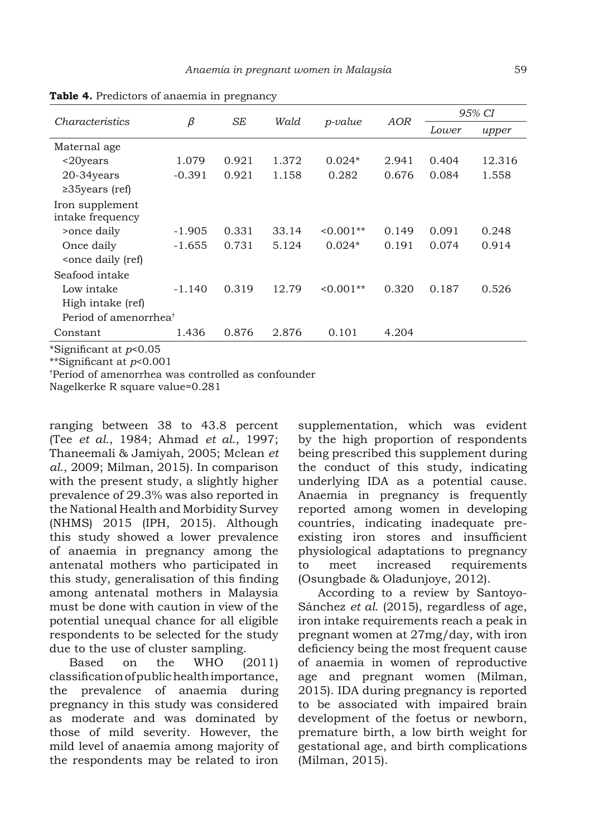| Characteristics                                                                                       |          | SE    | Wald  | $p$ -value | AOR   | 95% CI |        |
|-------------------------------------------------------------------------------------------------------|----------|-------|-------|------------|-------|--------|--------|
|                                                                                                       | β        |       |       |            |       | Lower  | upper  |
| Maternal age                                                                                          |          |       |       |            |       |        |        |
| $\langle 20 \rangle$                                                                                  | 1.079    | 0.921 | 1.372 | $0.024*$   | 2.941 | 0.404  | 12.316 |
| 20-34years                                                                                            | $-0.391$ | 0.921 | 1.158 | 0.282      | 0.676 | 0.084  | 1.558  |
| $\geq$ 35 years (ref)                                                                                 |          |       |       |            |       |        |        |
| Iron supplement<br>intake frequency                                                                   |          |       |       |            |       |        |        |
| >once daily                                                                                           | $-1.905$ | 0.331 | 33.14 | $0.001**$  | 0.149 | 0.091  | 0.248  |
| Once daily                                                                                            | $-1.655$ | 0.731 | 5.124 | $0.024*$   | 0.191 | 0.074  | 0.914  |
| <once (ref)<="" daily="" td=""><td></td><td></td><td></td><td></td><td></td><td></td><td></td></once> |          |       |       |            |       |        |        |
| Seafood intake                                                                                        |          |       |       |            |       |        |        |
| Low intake                                                                                            | $-1.140$ | 0.319 | 12.79 | $0.001**$  | 0.320 | 0.187  | 0.526  |
| High intake (ref)                                                                                     |          |       |       |            |       |        |        |
| Period of amenorrhea <sup>†</sup>                                                                     |          |       |       |            |       |        |        |
| Constant                                                                                              | 1.436    | 0.876 | 2.876 | 0.101      | 4.204 |        |        |
| *Sionificant at n<0.05                                                                                |          |       |       |            |       |        |        |

**Table 4.** Predictors of anaemia in pregnancy

\*Significant at *p*<0.05

\*\*Significant at *p*<0.001

† Period of amenorrhea was controlled as confounder

Nagelkerke R square value=0.281

ranging between 38 to 43.8 percent (Tee *et al*., 1984; Ahmad *et al*., 1997; Thaneemali & Jamiyah, 2005; Mclean *et al*., 2009; Milman, 2015). In comparison with the present study, a slightly higher prevalence of 29.3% was also reported in the National Health and Morbidity Survey (NHMS) 2015 (IPH, 2015). Although this study showed a lower prevalence of anaemia in pregnancy among the antenatal mothers who participated in this study, generalisation of this finding among antenatal mothers in Malaysia must be done with caution in view of the potential unequal chance for all eligible respondents to be selected for the study due to the use of cluster sampling.

Based on the WHO (2011) classification of public health importance, the prevalence of anaemia during pregnancy in this study was considered as moderate and was dominated by those of mild severity. However, the mild level of anaemia among majority of the respondents may be related to iron

supplementation, which was evident by the high proportion of respondents being prescribed this supplement during the conduct of this study, indicating underlying IDA as a potential cause. Anaemia in pregnancy is frequently reported among women in developing countries, indicating inadequate preexisting iron stores and insufficient physiological adaptations to pregnancy to meet increased requirements (Osungbade & Oladunjoye, 2012).

According to a review by Santoyo-Sánchez *et al*. (2015), regardless of age, iron intake requirements reach a peak in pregnant women at 27mg/day, with iron deficiency being the most frequent cause of anaemia in women of reproductive age and pregnant women (Milman, 2015). IDA during pregnancy is reported to be associated with impaired brain development of the foetus or newborn, premature birth, a low birth weight for gestational age, and birth complications (Milman, 2015).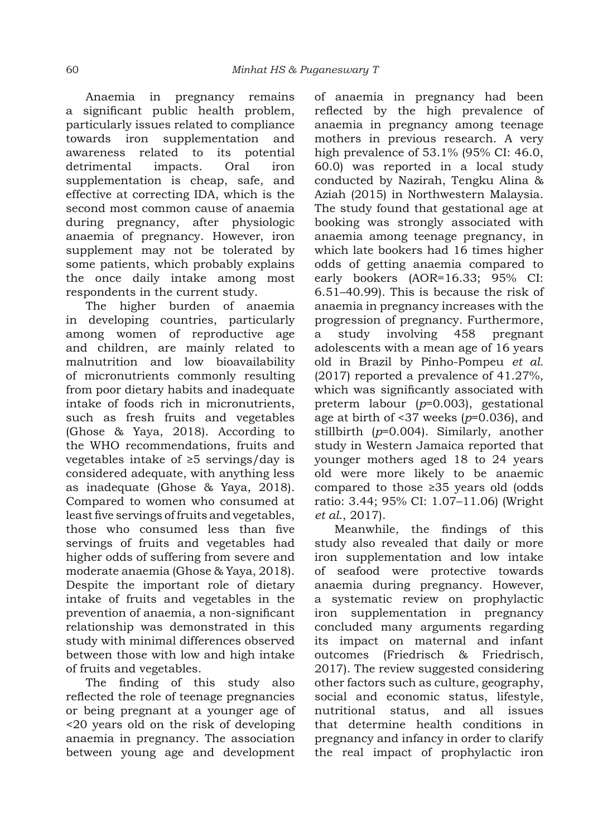Anaemia in pregnancy remains a significant public health problem, particularly issues related to compliance towards iron supplementation and awareness related to its potential detrimental impacts. Oral iron supplementation is cheap, safe, and effective at correcting IDA, which is the second most common cause of anaemia during pregnancy, after physiologic anaemia of pregnancy. However, iron supplement may not be tolerated by some patients, which probably explains the once daily intake among most respondents in the current study.

The higher burden of anaemia in developing countries, particularly among women of reproductive age and children, are mainly related to malnutrition and low bioavailability of micronutrients commonly resulting from poor dietary habits and inadequate intake of foods rich in micronutrients, such as fresh fruits and vegetables (Ghose & Yaya, 2018). According to the WHO recommendations, fruits and vegetables intake of ≥5 servings/day is considered adequate, with anything less as inadequate (Ghose & Yaya, 2018). Compared to women who consumed at least five servings of fruits and vegetables, those who consumed less than five servings of fruits and vegetables had higher odds of suffering from severe and moderate anaemia (Ghose & Yaya, 2018). Despite the important role of dietary intake of fruits and vegetables in the prevention of anaemia, a non-significant relationship was demonstrated in this study with minimal differences observed between those with low and high intake of fruits and vegetables.

The finding of this study also reflected the role of teenage pregnancies or being pregnant at a younger age of <20 years old on the risk of developing anaemia in pregnancy. The association between young age and development of anaemia in pregnancy had been reflected by the high prevalence of anaemia in pregnancy among teenage mothers in previous research. A very high prevalence of 53.1% (95% CI: 46.0, 60.0) was reported in a local study conducted by Nazirah, Tengku Alina & Aziah (2015) in Northwestern Malaysia. The study found that gestational age at booking was strongly associated with anaemia among teenage pregnancy, in which late bookers had 16 times higher odds of getting anaemia compared to early bookers (AOR=16.33; 95% CI: 6.51–40.99). This is because the risk of anaemia in pregnancy increases with the progression of pregnancy. Furthermore, a study involving 458 pregnant adolescents with a mean age of 16 years old in Brazil by Pinho-Pompeu *et al*. (2017) reported a prevalence of 41.27%, which was significantly associated with preterm labour (*p*=0.003), gestational age at birth of <37 weeks (*p*=0.036), and stillbirth (*p*=0.004). Similarly, another study in Western Jamaica reported that younger mothers aged 18 to 24 years old were more likely to be anaemic compared to those ≥35 years old (odds ratio: 3.44; 95% CI: 1.07–11.06) (Wright *et al*., 2017).

Meanwhile, the findings of this study also revealed that daily or more iron supplementation and low intake of seafood were protective towards anaemia during pregnancy. However, a systematic review on prophylactic iron supplementation in pregnancy concluded many arguments regarding its impact on maternal and infant outcomes (Friedrisch & Friedrisch, 2017). The review suggested considering other factors such as culture, geography, social and economic status, lifestyle, nutritional status, and all issues that determine health conditions in pregnancy and infancy in order to clarify the real impact of prophylactic iron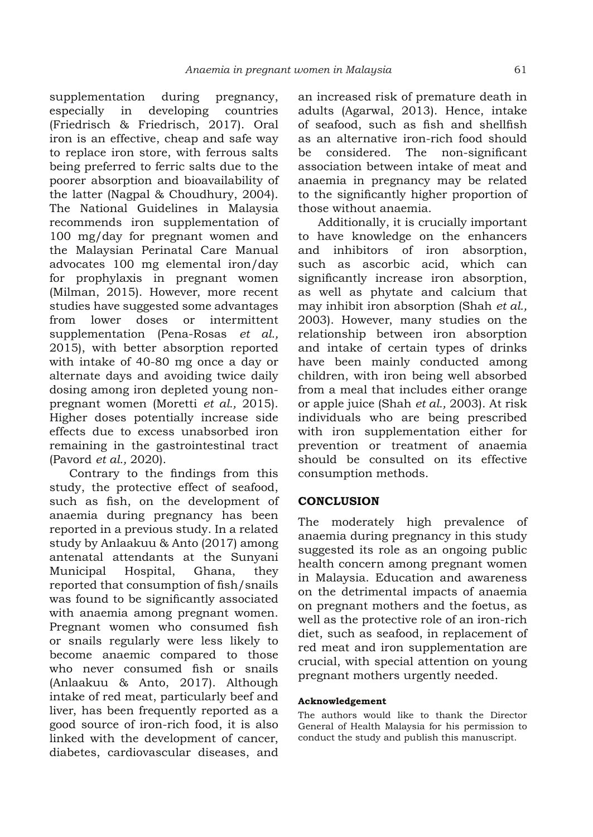supplementation during pregnancy, especially in developing countries (Friedrisch & Friedrisch, 2017). Oral iron is an effective, cheap and safe way to replace iron store, with ferrous salts being preferred to ferric salts due to the poorer absorption and bioavailability of the latter (Nagpal & Choudhury, 2004). The National Guidelines in Malaysia recommends iron supplementation of 100 mg/day for pregnant women and the Malaysian Perinatal Care Manual advocates 100 mg elemental iron/day for prophylaxis in pregnant women (Milman, 2015). However, more recent studies have suggested some advantages from lower doses or intermittent supplementation (Pena-Rosas *et al.,* 2015), with better absorption reported with intake of 40-80 mg once a day or alternate days and avoiding twice daily dosing among iron depleted young nonpregnant women (Moretti *et al.,* 2015). Higher doses potentially increase side effects due to excess unabsorbed iron remaining in the gastrointestinal tract (Pavord *et al.,* 2020).

Contrary to the findings from this study, the protective effect of seafood, such as fish, on the development of anaemia during pregnancy has been reported in a previous study. In a related study by Anlaakuu & Anto (2017) among antenatal attendants at the Sunyani Municipal Hospital, Ghana, they reported that consumption of fish/snails was found to be significantly associated with anaemia among pregnant women. Pregnant women who consumed fish or snails regularly were less likely to become anaemic compared to those who never consumed fish or snails (Anlaakuu & Anto, 2017). Although intake of red meat, particularly beef and liver, has been frequently reported as a good source of iron-rich food, it is also linked with the development of cancer, diabetes, cardiovascular diseases, and

an increased risk of premature death in adults (Agarwal, 2013). Hence, intake of seafood, such as fish and shellfish as an alternative iron-rich food should be considered. The non-significant association between intake of meat and anaemia in pregnancy may be related to the significantly higher proportion of those without anaemia.

Additionally, it is crucially important to have knowledge on the enhancers and inhibitors of iron absorption, such as ascorbic acid, which can significantly increase iron absorption, as well as phytate and calcium that may inhibit iron absorption (Shah *et al.,* 2003). However, many studies on the relationship between iron absorption and intake of certain types of drinks have been mainly conducted among children, with iron being well absorbed from a meal that includes either orange or apple juice (Shah *et al.,* 2003). At risk individuals who are being prescribed with iron supplementation either for prevention or treatment of anaemia should be consulted on its effective consumption methods.

# **CONCLUSION**

The moderately high prevalence of anaemia during pregnancy in this study suggested its role as an ongoing public health concern among pregnant women in Malaysia. Education and awareness on the detrimental impacts of anaemia on pregnant mothers and the foetus, as well as the protective role of an iron-rich diet, such as seafood, in replacement of red meat and iron supplementation are crucial, with special attention on young pregnant mothers urgently needed.

#### **Acknowledgement**

The authors would like to thank the Director General of Health Malaysia for his permission to conduct the study and publish this manuscript.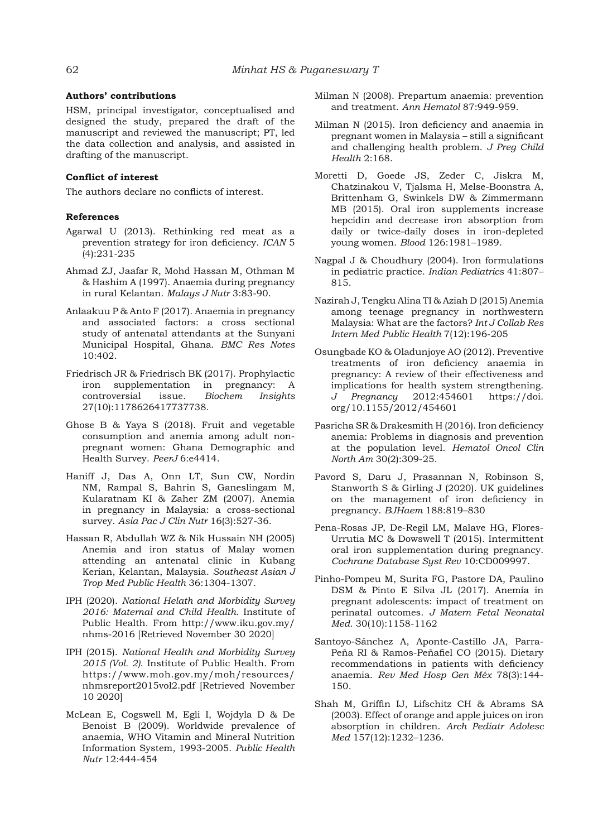#### **Authors' contributions**

HSM, principal investigator, conceptualised and designed the study, prepared the draft of the manuscript and reviewed the manuscript; PT, led the data collection and analysis, and assisted in drafting of the manuscript.

### **Conflict of interest**

The authors declare no conflicts of interest.

#### **References**

- Agarwal U (2013). Rethinking red meat as a prevention strategy for iron deficiency. *ICAN* 5 (4):231-235
- Ahmad ZJ, Jaafar R, Mohd Hassan M, Othman M & Hashim A (1997). Anaemia during pregnancy in rural Kelantan. *Malays J Nutr* 3:83-90.
- Anlaakuu P & Anto F (2017). Anaemia in pregnancy and associated factors: a cross sectional study of antenatal attendants at the Sunyani Municipal Hospital, Ghana. *BMC Res Notes* 10:402.
- Friedrisch JR & Friedrisch BK (2017). Prophylactic iron supplementation in pregnancy: A controversial issue. *Biochem Insights* 27(10):1178626417737738.
- Ghose B & Yaya S (2018). Fruit and vegetable consumption and anemia among adult nonpregnant women: Ghana Demographic and Health Survey. *PeerJ* 6:e4414.
- Haniff J, Das A, Onn LT, Sun CW, Nordin NM, Rampal S, Bahrin S, Ganeslingam M, Kularatnam KI & Zaher ZM (2007). Anemia in pregnancy in Malaysia: a cross-sectional survey. *Asia Pac J Clin Nutr* 16(3):527-36.
- Hassan R, Abdullah WZ & Nik Hussain NH (2005) Anemia and iron status of Malay women attending an antenatal clinic in Kubang Kerian, Kelantan, Malaysia. *Southeast Asian J Trop Med Public Health* 36:1304-1307.
- IPH (2020). *National Helath and Morbidity Survey 2016: Maternal and Child Health.* Institute of Public Health. From http://www.iku.gov.my/ nhms-2016 [Retrieved November 30 2020]
- IPH (2015). *National Health and Morbidity Survey 2015 (Vol. 2)*. Institute of Public Health. From https://www.moh.gov.my/moh/resources/ nhmsreport2015vol2.pdf [Retrieved November 10 2020]
- McLean E, Cogswell M, Egli I, Wojdyla D & De Benoist B (2009). Worldwide prevalence of anaemia, WHO Vitamin and Mineral Nutrition Information System, 1993-2005. *Public Health Nutr* 12:444-454
- Milman N (2008). Prepartum anaemia: prevention and treatment. *Ann Hematol* 87:949-959.
- Milman N (2015). Iron deficiency and anaemia in pregnant women in Malaysia – still a significant and challenging health problem. *J Preg Child Health* 2:168.
- Moretti D, Goede JS, Zeder C, Jiskra M, Chatzinakou V, Tjalsma H, Melse-Boonstra A, Brittenham G, Swinkels DW & Zimmermann MB (2015). Oral iron supplements increase hepcidin and decrease iron absorption from daily or twice-daily doses in iron-depleted young women. *Blood* 126:1981–1989.
- Nagpal J & Choudhury (2004). Iron formulations in pediatric practice. *Indian Pediatrics* 41:807– 815.
- Nazirah J, Tengku Alina TI & Aziah D (2015) Anemia among teenage pregnancy in northwestern Malaysia: What are the factors? *Int J Collab Res Intern Med Public Health* 7(12):196-205
- Osungbade KO & Oladunjoye AO (2012). Preventive treatments of iron deficiency anaemia in pregnancy: A review of their effectiveness and implications for health system strengthening. *J Pregnancy* 2012:454601 https://doi. org/10.1155/2012/454601
- Pasricha SR & Drakesmith H (2016). Iron deficiency anemia: Problems in diagnosis and prevention at the population level. *Hematol Oncol Clin North Am* 30(2):309-25.
- Pavord S, Daru J, Prasannan N, Robinson S, Stanworth S & Girling J (2020). UK guidelines on the management of iron deficiency in pregnancy. *BJHaem* 188:819–830
- Pena-Rosas JP, De-Regil LM, Malave HG, Flores-Urrutia MC & Dowswell T (2015). Intermittent oral iron supplementation during pregnancy. *Cochrane Database Syst Rev* 10:CD009997.
- Pinho-Pompeu M, Surita FG, Pastore DA, Paulino DSM & Pinto E Silva JL (2017). Anemia in pregnant adolescents: impact of treatment on perinatal outcomes. *J Matern Fetal Neonatal Med.* 30(10):1158-1162
- Santoyo-Sánchez A, Aponte-Castillo JA, Parra-Peña RI & Ramos-Peñafiel CO (2015). Dietary recommendations in patients with deficiency anaemia. *Rev Med Hosp Gen Méx* 78(3):144- 150.
- Shah M, Griffin IJ, Lifschitz CH & Abrams SA (2003). Effect of orange and apple juices on iron absorption in children. *Arch Pediatr Adolesc Med* 157(12):1232–1236.